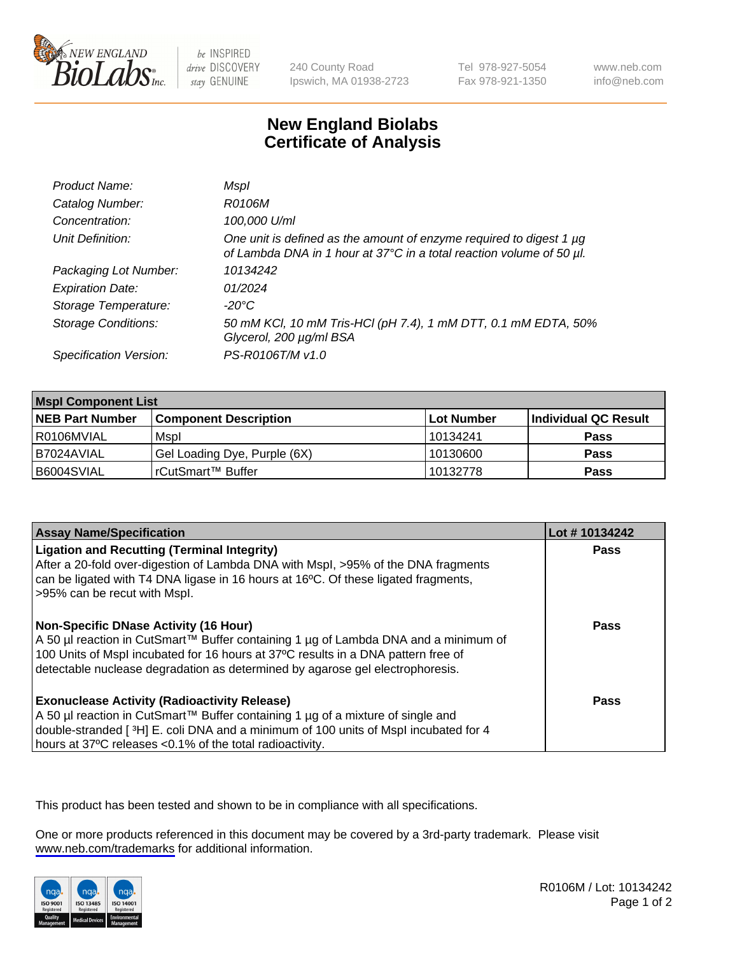

be INSPIRED drive DISCOVERY stay GENUINE

240 County Road Ipswich, MA 01938-2723 Tel 978-927-5054 Fax 978-921-1350

www.neb.com info@neb.com

## **New England Biolabs Certificate of Analysis**

| Product Name:              | Mspl                                                                                                                                             |
|----------------------------|--------------------------------------------------------------------------------------------------------------------------------------------------|
| Catalog Number:            | R0106M                                                                                                                                           |
| Concentration:             | 100,000 U/ml                                                                                                                                     |
| Unit Definition:           | One unit is defined as the amount of enzyme required to digest 1 $\mu$ g<br>of Lambda DNA in 1 hour at 37°C in a total reaction volume of 50 µl. |
| Packaging Lot Number:      | 10134242                                                                                                                                         |
| <b>Expiration Date:</b>    | 01/2024                                                                                                                                          |
| Storage Temperature:       | -20°C                                                                                                                                            |
| <b>Storage Conditions:</b> | 50 mM KCl, 10 mM Tris-HCl (pH 7.4), 1 mM DTT, 0.1 mM EDTA, 50%<br>Glycerol, 200 µg/ml BSA                                                        |
| Specification Version:     | PS-R0106T/M v1.0                                                                                                                                 |

| <b>Mspl Component List</b> |                              |            |                      |  |
|----------------------------|------------------------------|------------|----------------------|--|
| <b>NEB Part Number</b>     | <b>Component Description</b> | Lot Number | Individual QC Result |  |
| R0106MVIAL                 | Mspl                         | l 10134241 | <b>Pass</b>          |  |
| I B7024AVIAL               | Gel Loading Dye, Purple (6X) | 10130600   | <b>Pass</b>          |  |
| IB6004SVIAL                | rCutSmart™ Buffer            | 10132778   | <b>Pass</b>          |  |

| <b>Assay Name/Specification</b>                                                                                                                                                                                                                                                                             | Lot #10134242 |
|-------------------------------------------------------------------------------------------------------------------------------------------------------------------------------------------------------------------------------------------------------------------------------------------------------------|---------------|
| <b>Ligation and Recutting (Terminal Integrity)</b><br>After a 20-fold over-digestion of Lambda DNA with Mspl, >95% of the DNA fragments<br>can be ligated with T4 DNA ligase in 16 hours at 16 $\degree$ C. Of these ligated fragments,<br>-95% can be recut with Mspl.                                     | Pass          |
| <b>Non-Specific DNase Activity (16 Hour)</b><br>  A 50 µl reaction in CutSmart™ Buffer containing 1 µg of Lambda DNA and a minimum of<br>100 Units of Mspl incubated for 16 hours at 37°C results in a DNA pattern free of<br>detectable nuclease degradation as determined by agarose gel electrophoresis. | Pass          |
| <b>Exonuclease Activity (Radioactivity Release)</b><br>  A 50 µl reaction in CutSmart™ Buffer containing 1 µg of a mixture of single and<br>double-stranded [3H] E. coli DNA and a minimum of 100 units of Mspl incubated for 4<br>hours at 37°C releases <0.1% of the total radioactivity.                 | Pass          |

This product has been tested and shown to be in compliance with all specifications.

One or more products referenced in this document may be covered by a 3rd-party trademark. Please visit <www.neb.com/trademarks>for additional information.